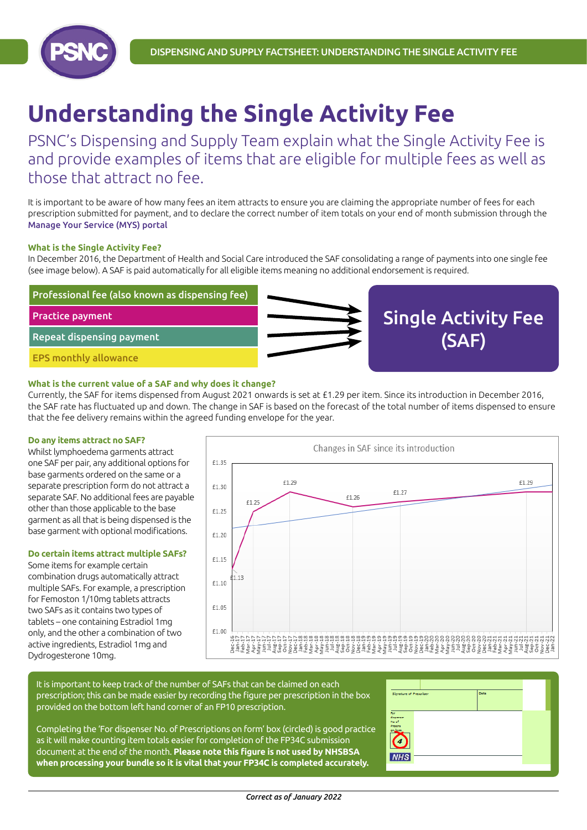

# **Understanding the Single Activity Fee**

PSNC's Dispensing and Supply Team explain what the Single Activity Fee is and provide examples of items that are eligible for multiple fees as well as those that attract no fee.

It is important to be aware of how many fees an item attracts to ensure you are claiming the appropriate number of fees for each prescription submitted for payment, and to declare the correct number of item totals on your end of month submission through the [Manage Your Service \(MYS\) portal](https://www.nhsbsa.nhs.uk/pharmacies-gp-practices-and-appliance-contractors/dispensing-contractors-information/manage-your-service-mys)

### **What is the Single Activity Fee?**

In December 2016, the Department of Health and Social Care introduced the SAF consolidating a range of payments into one single fee (see image below). A SAF is paid automatically for all eligible items meaning no additional endorsement is required.



#### **What is the current value of a SAF and why does it change?**

Currently, the SAF for items dispensed from August 2021 onwards is set at £1.29 per item. Since its introduction in December 2016, the SAF rate has fluctuated up and down. The change in SAF is based on the forecast of the total number of items dispensed to ensure that the fee delivery remains within the agreed funding envelope for the year.

#### **Do any items attract no SAF?**

Whilst lymphoedema garments attract one SAF per pair, any additional options for base garments ordered on the same or a separate prescription form do not attract a separate SAF. No additional fees are payable other than those applicable to the base garment as all that is being dispensed is the base garment with optional modifications.

### **Do certain items attract multiple SAFs?**

Some items for example certain combination drugs automatically attract multiple SAFs. For example, a prescription for Femoston 1/10mg tablets attracts two SAFs as it contains two types of tablets – one containing Estradiol 1mg only, and the other a combination of two active ingredients, Estradiol 1mg and Dydrogesterone 10mg.



It is important to keep track of the number of SAFs that can be claimed on each prescription; this can be made easier by recording the figure per prescription in the box provided on the bottom left hand corner of an FP10 prescription.

Completing the 'For dispenser No. of Prescriptions on form' box (circled) is good practice as it will make counting item totals easier for completion of the FP34C submission document at the end of the month. **Please note this figure is not used by NHSBSA when processing your bundle so it is vital that your FP34C is completed accurately.**

| Signature of Prescriber |  | Date |  |
|-------------------------|--|------|--|
|                         |  |      |  |
| Per-<br>disponsor       |  |      |  |
| No of<br>Protest        |  |      |  |
| on Joan                 |  |      |  |
|                         |  |      |  |
|                         |  |      |  |
| <b>NHS</b>              |  |      |  |
|                         |  |      |  |